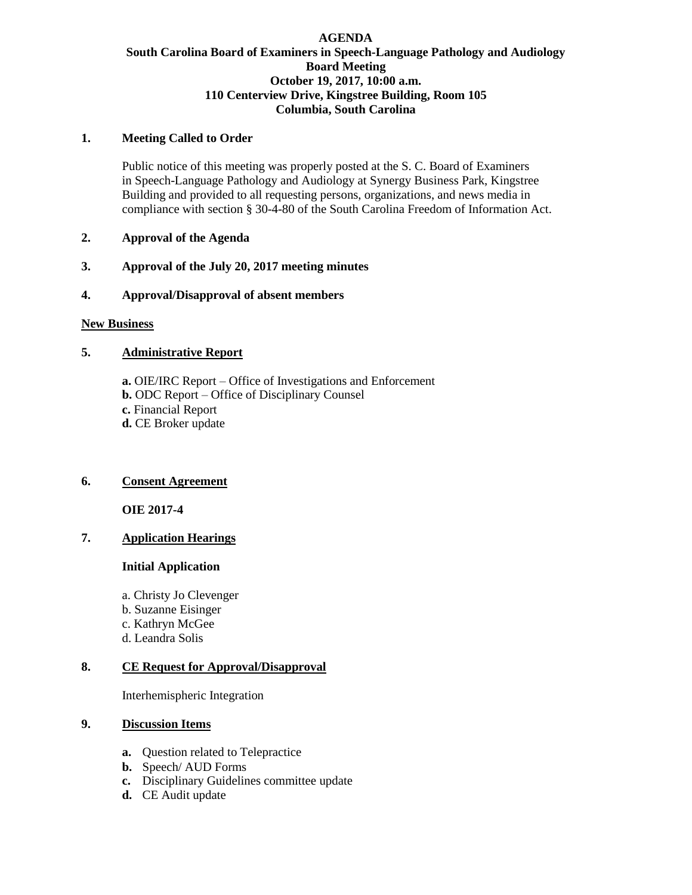# **AGENDA South Carolina Board of Examiners in Speech-Language Pathology and Audiology Board Meeting October 19, 2017, 10:00 a.m. 110 Centerview Drive, Kingstree Building, Room 105 Columbia, South Carolina**

## **1. Meeting Called to Order**

Public notice of this meeting was properly posted at the S. C. Board of Examiners in Speech-Language Pathology and Audiology at Synergy Business Park, Kingstree Building and provided to all requesting persons, organizations, and news media in compliance with section § 30-4-80 of the South Carolina Freedom of Information Act.

- **2. Approval of the Agenda**
- **3. Approval of the July 20, 2017 meeting minutes**
- **4. Approval/Disapproval of absent members**

### **New Business**

# **5. Administrative Report**

**a.** OIE/IRC Report – Office of Investigations and Enforcement **b.** ODC Report – Office of Disciplinary Counsel **c.** Financial Report **d.** CE Broker update

# **6. Consent Agreement**

**OIE 2017-4**

# **7. Application Hearings**

### **Initial Application**

a. Christy Jo Clevenger b. Suzanne Eisinger c. Kathryn McGee d. Leandra Solis

# **8. CE Request for Approval/Disapproval**

Interhemispheric Integration

### **9. Discussion Items**

- **a.** Question related to Telepractice
- **b.** Speech/ AUD Forms
- **c.** Disciplinary Guidelines committee update
- **d.** CE Audit update